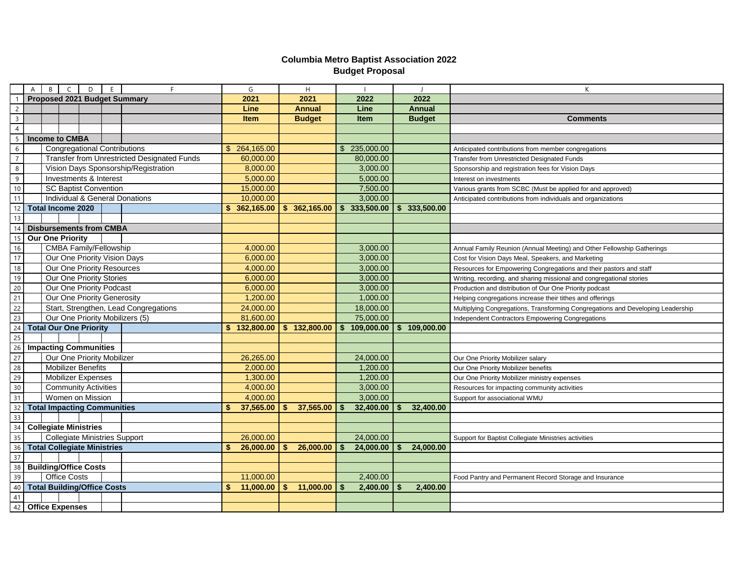## **Columbia Metro Baptist Association 2022 Budget Proposal**

| $\overline{B}$<br>$\mathsf{C}$<br>$\overline{A}$<br>D<br>E<br>F.     | G               | H                         | $\blacksquare$   | $\mathbf{J}$  | K                                                                               |
|----------------------------------------------------------------------|-----------------|---------------------------|------------------|---------------|---------------------------------------------------------------------------------|
| Proposed 2021 Budget Summary                                         | 2021            | 2021                      | 2022             | 2022          |                                                                                 |
| $\overline{2}$                                                       | Line            | <b>Annual</b>             | Line             | <b>Annual</b> |                                                                                 |
| $\overline{3}$                                                       | Item            | <b>Budget</b>             | Item             | <b>Budget</b> | <b>Comments</b>                                                                 |
| $\overline{4}$                                                       |                 |                           |                  |               |                                                                                 |
| <b>Income to CMBA</b><br>5                                           |                 |                           |                  |               |                                                                                 |
| <b>Congregational Contributions</b><br>6                             | \$ 264,165.00   |                           | \$ 235,000.00    |               | Anticipated contributions from member congregations                             |
| <b>Transfer from Unrestricted Designated Funds</b><br>$\overline{7}$ | 60,000.00       |                           | 80,000.00        |               | Transfer from Unrestricted Designated Funds                                     |
| Vision Days Sponsorship/Registration<br>8                            | 8,000.00        |                           | 3,000.00         |               | Sponsorship and registration fees for Vision Days                               |
| Investments & Interest<br>9                                          | 5,000.00        |                           | 5,000.00         |               | Interest on investments                                                         |
| $10\,$<br><b>SC Baptist Convention</b>                               | 15,000.00       |                           | 7,500.00         |               | Various grants from SCBC (Must be applied for and approved)                     |
| Individual & General Donations<br>11                                 | 10,000.00       |                           | 3,000.00         |               | Anticipated contributions from individuals and organizations                    |
| <b>Total Income 2020</b><br>12                                       | \$362,165.00    | \$362,165.00              | 333,500.00<br>\$ | \$333,500.00  |                                                                                 |
| 13                                                                   |                 |                           |                  |               |                                                                                 |
| <b>Disbursements from CMBA</b><br>14                                 |                 |                           |                  |               |                                                                                 |
| <b>Our One Priority</b><br>15                                        |                 |                           |                  |               |                                                                                 |
| <b>CMBA Family/Fellowship</b><br>16                                  | 4,000.00        |                           | 3,000.00         |               | Annual Family Reunion (Annual Meeting) and Other Fellowship Gatherings          |
| 17<br>Our One Priority Vision Days                                   | 6,000.00        |                           | 3,000.00         |               | Cost for Vision Days Meal, Speakers, and Marketing                              |
| $18\,$<br>Our One Priority Resources                                 | 4,000.00        |                           | 3,000.00         |               | Resources for Empowering Congregations and their pastors and staff              |
| 19<br>Our One Priority Stories                                       | 6,000.00        |                           | 3,000.00         |               | Writing, recording, and sharing missional and congregational stories            |
| 20<br>Our One Priority Podcast                                       | 6,000.00        |                           | 3,000.00         |               | Production and distribution of Our One Priority podcast                         |
| 21<br>Our One Priority Generosity                                    | 1,200.00        |                           | 1,000.00         |               | Helping congregations increase their tithes and offerings                       |
| 22<br>Start, Strengthen, Lead Congregations                          | 24,000.00       |                           | 18,000.00        |               | Multiplying Congregations, Transforming Congregations and Developing Leadership |
| 23<br>Our One Priority Mobilizers (5)                                | 81,600.00       |                           | 75,000.00        |               | Independent Contractors Empowering Congregations                                |
| 24<br><b>Total Our One Priority</b>                                  | \$132,800.00    | \$132,800.00              | 109,000.00       | \$109,000.00  |                                                                                 |
| $\overline{25}$                                                      |                 |                           |                  |               |                                                                                 |
| $\overline{26}$<br><b>Impacting Communities</b>                      |                 |                           |                  |               |                                                                                 |
| Our One Priority Mobilizer<br>27                                     | 26,265.00       |                           | 24,000.00        |               | Our One Priority Mobilizer salary                                               |
| 28<br><b>Mobilizer Benefits</b>                                      | 2,000.00        |                           | 1,200.00         |               | Our One Priority Mobilizer benefits                                             |
| 29<br><b>Mobilizer Expenses</b>                                      | 1,300.00        |                           | 1,200.00         |               | Our One Priority Mobilizer ministry expenses                                    |
| 30<br><b>Community Activities</b>                                    | 4,000.00        |                           | 3,000.00         |               | Resources for impacting community activities                                    |
| 31<br>Women on Mission                                               | 4,000.00        |                           | 3,000.00         |               | Support for associational WMU                                                   |
| 32<br><b>Total Impacting Communities</b>                             | 37,565.00       | 37,565.00                 | 32,400.00        | 32,400.00     |                                                                                 |
| $\overline{33}$                                                      |                 |                           |                  |               |                                                                                 |
| 34<br><b>Collegiate Ministries</b>                                   |                 |                           |                  |               |                                                                                 |
| 35<br><b>Collegiate Ministries Support</b>                           | 26,000.00       |                           | 24,000.00        |               | Support for Baptist Collegiate Ministries activities                            |
| <b>Total Collegiate Ministries</b><br>36                             | 26,000.00       | $\mathbf{s}$<br>26,000.00 | 24,000.00        | 24,000.00     |                                                                                 |
| 37                                                                   |                 |                           |                  |               |                                                                                 |
| <b>Building/Office Costs</b><br>38                                   |                 |                           |                  |               |                                                                                 |
| 39<br><b>Office Costs</b>                                            | 11,000.00       |                           | 2,400.00         |               | Food Pantry and Permanent Record Storage and Insurance                          |
| <b>Total Building/Office Costs</b><br>40                             | 11,000.00<br>\$ | \$<br>11,000.00           | 2,400.00         | 2,400.00      |                                                                                 |
| 41                                                                   |                 |                           |                  |               |                                                                                 |
| <b>Office Expenses</b><br>42                                         |                 |                           |                  |               |                                                                                 |